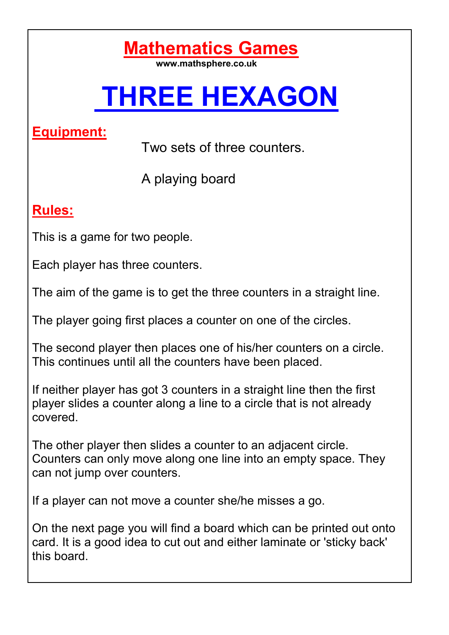### **Mathematics Games**

**www.mathsphere.co.uk** 

# **THREE HEXAGON**

#### **Equipment:**

Two sets of three counters.

A playing board

#### **Rules:**

This is a game for two people.

Each player has three counters.

The aim of the game is to get the three counters in a straight line.

The player going first places a counter on one of the circles.

The second player then places one of his/her counters on a circle. This continues until all the counters have been placed.

If neither player has got 3 counters in a straight line then the first player slides a counter along a line to a circle that is not already covered.

The other player then slides a counter to an adjacent circle. Counters can only move along one line into an empty space. They can not jump over counters.

If a player can not move a counter she/he misses a go.

On the next page you will find a board which can be printed out onto card. It is a good idea to cut out and either laminate or 'sticky back' this board.